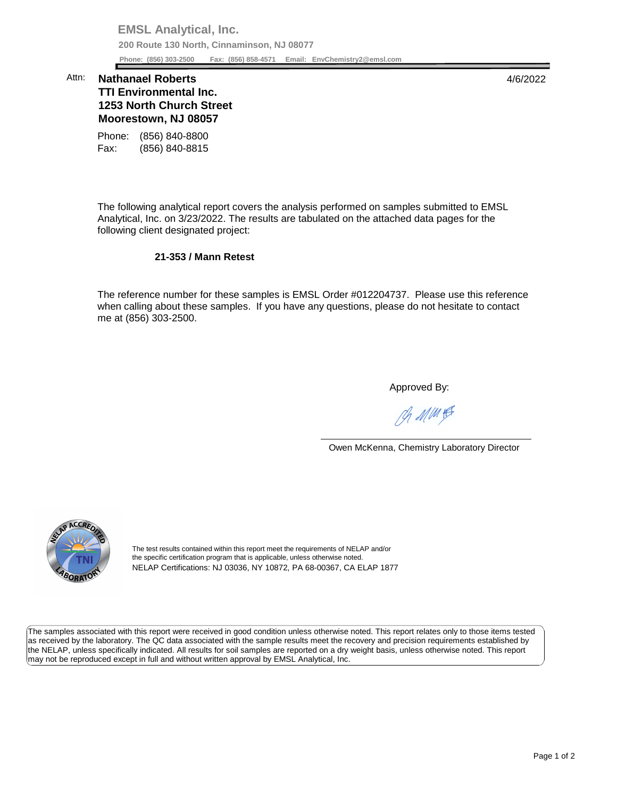**EMSL Analytical, Inc. 200 Route 130 North, Cinnaminson, NJ 08077 Phone: (856) 303-2500 Fax: (856) 858-4571 Email: [EnvChemistry2@emsl.com](mailto:EnvChemistry2@emsl.com)**  Phone: (856) 303-2500

## **1253 North Church Street Moorestown, NJ 08057**  Attn: **Nathanael Roberts** 4/6/2022 **TTI Environmental Inc.**

Phone: (856) 840-8800 Fax: (856) 840-8815

 The following analytical report covers the analysis performed on samples submitted to EMSL Analytical, Inc. on 3/23/2022. The results are tabulated on the attached data pages for the following client designated project:

## **21-353 / Mann Retest**

 The reference number for these samples is EMSL Order #012204737. Please use this reference me at (856) 303-2500. when calling about these samples. If you have any questions, please do not hesitate to contact

Approved By:

Ph MMH

Owen McKenna, Chemistry Laboratory Director



The test results contained within this report meet the requirements of NELAP and/or the specific certification program that is applicable, unless otherwise noted. NELAP Certifications: NJ 03036, NY 10872, PA 68-00367, CA ELAP 1877

 The samples associated with this report were received in good condition unless otherwise noted. This report relates only to those items tested as received by the laboratory. The QC data associated with the sample results meet the recovery and precision requirements established by the NELAP, unless specifically indicated. All results for soil samples are reported on a dry weight basis, unless otherwise noted. This report may not be reproduced except in full and without written approval by EMSL Analytical, Inc.